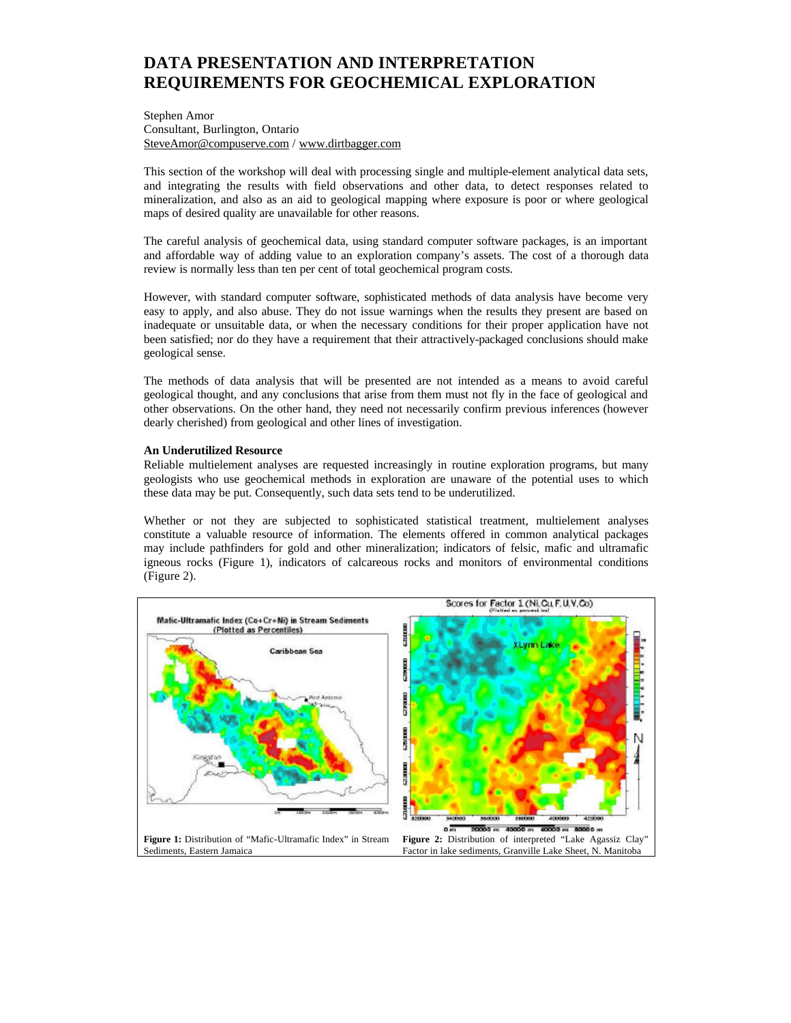# **DATA PRESENTATION AND INTERPRETATION REQUIREMENTS FOR GEOCHEMICAL EXPLORATION**

Stephen Amor Consultant, Burlington, Ontario SteveAmor@compuserve.com / www.dirtbagger.com

This section of the workshop will deal with processing single and multiple-element analytical data sets, and integrating the results with field observations and other data, to detect responses related to mineralization, and also as an aid to geological mapping where exposure is poor or where geological maps of desired quality are unavailable for other reasons.

The careful analysis of geochemical data, using standard computer software packages, is an important and affordable way of adding value to an exploration company's assets. The cost of a thorough data review is normally less than ten per cent of total geochemical program costs.

However, with standard computer software, sophisticated methods of data analysis have become very easy to apply, and also abuse. They do not issue warnings when the results they present are based on inadequate or unsuitable data, or when the necessary conditions for their proper application have not been satisfied; nor do they have a requirement that their attractively-packaged conclusions should make geological sense.

The methods of data analysis that will be presented are not intended as a means to avoid careful geological thought, and any conclusions that arise from them must not fly in the face of geological and other observations. On the other hand, they need not necessarily confirm previous inferences (however dearly cherished) from geological and other lines of investigation.

## **An Underutilized Resource**

Reliable multielement analyses are requested increasingly in routine exploration programs, but many geologists who use geochemical methods in exploration are unaware of the potential uses to which these data may be put. Consequently, such data sets tend to be underutilized.

Whether or not they are subjected to sophisticated statistical treatment, multielement analyses constitute a valuable resource of information. The elements offered in common analytical packages may include pathfinders for gold and other mineralization; indicators of felsic, mafic and ultramafic igneous rocks (Figure 1), indicators of calcareous rocks and monitors of environmental conditions (Figure 2).

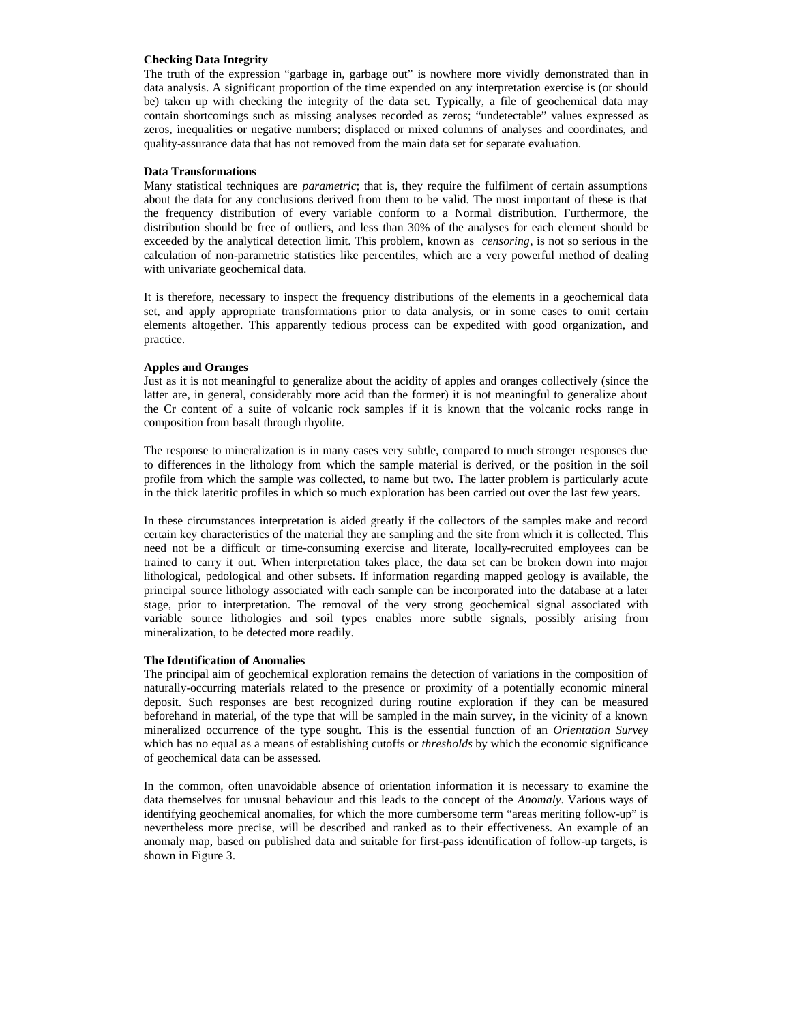## **Checking Data Integrity**

The truth of the expression "garbage in, garbage out" is nowhere more vividly demonstrated than in data analysis. A significant proportion of the time expended on any interpretation exercise is (or should be) taken up with checking the integrity of the data set. Typically, a file of geochemical data may contain shortcomings such as missing analyses recorded as zeros; "undetectable" values expressed as zeros, inequalities or negative numbers; displaced or mixed columns of analyses and coordinates, and quality-assurance data that has not removed from the main data set for separate evaluation.

### **Data Transformations**

Many statistical techniques are *parametric*; that is, they require the fulfilment of certain assumptions about the data for any conclusions derived from them to be valid. The most important of these is that the frequency distribution of every variable conform to a Normal distribution. Furthermore, the distribution should be free of outliers, and less than 30% of the analyses for each element should be exceeded by the analytical detection limit. This problem, known as *censoring*, is not so serious in the calculation of non-parametric statistics like percentiles, which are a very powerful method of dealing with univariate geochemical data.

It is therefore, necessary to inspect the frequency distributions of the elements in a geochemical data set, and apply appropriate transformations prior to data analysis, or in some cases to omit certain elements altogether. This apparently tedious process can be expedited with good organization, and practice.

### **Apples and Oranges**

Just as it is not meaningful to generalize about the acidity of apples and oranges collectively (since the latter are, in general, considerably more acid than the former) it is not meaningful to generalize about the Cr content of a suite of volcanic rock samples if it is known that the volcanic rocks range in composition from basalt through rhyolite.

The response to mineralization is in many cases very subtle, compared to much stronger responses due to differences in the lithology from which the sample material is derived, or the position in the soil profile from which the sample was collected, to name but two. The latter problem is particularly acute in the thick lateritic profiles in which so much exploration has been carried out over the last few years.

In these circumstances interpretation is aided greatly if the collectors of the samples make and record certain key characteristics of the material they are sampling and the site from which it is collected. This need not be a difficult or time-consuming exercise and literate, locally-recruited employees can be trained to carry it out. When interpretation takes place, the data set can be broken down into major lithological, pedological and other subsets. If information regarding mapped geology is available, the principal source lithology associated with each sample can be incorporated into the database at a later stage, prior to interpretation. The removal of the very strong geochemical signal associated with variable source lithologies and soil types enables more subtle signals, possibly arising from mineralization, to be detected more readily.

### **The Identification of Anomalies**

The principal aim of geochemical exploration remains the detection of variations in the composition of naturally-occurring materials related to the presence or proximity of a potentially economic mineral deposit. Such responses are best recognized during routine exploration if they can be measured beforehand in material, of the type that will be sampled in the main survey, in the vicinity of a known mineralized occurrence of the type sought. This is the essential function of an *Orientation Survey* which has no equal as a means of establishing cutoffs or *thresholds* by which the economic significance of geochemical data can be assessed.

In the common, often unavoidable absence of orientation information it is necessary to examine the data themselves for unusual behaviour and this leads to the concept of the *Anomaly*. Various ways of identifying geochemical anomalies, for which the more cumbersome term "areas meriting follow-up" is nevertheless more precise, will be described and ranked as to their effectiveness. An example of an anomaly map, based on published data and suitable for first-pass identification of follow-up targets, is shown in Figure 3.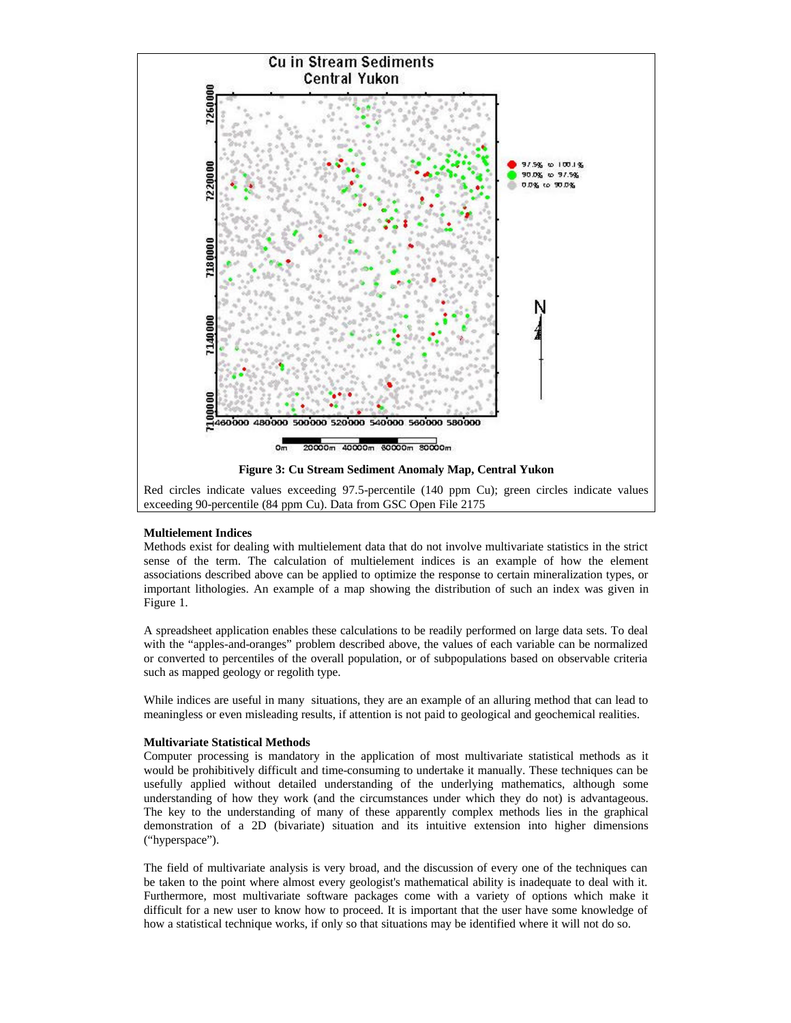

Red circles indicate values exceeding 97.5-percentile (140 ppm Cu); green circles indicate values exceeding 90-percentile (84 ppm Cu). Data from GSC Open File 2175

# **Multielement Indices**

Methods exist for dealing with multielement data that do not involve multivariate statistics in the strict sense of the term. The calculation of multielement indices is an example of how the element associations described above can be applied to optimize the response to certain mineralization types, or important lithologies. An example of a map showing the distribution of such an index was given in Figure 1.

A spreadsheet application enables these calculations to be readily performed on large data sets. To deal with the "apples-and-oranges" problem described above, the values of each variable can be normalized or converted to percentiles of the overall population, or of subpopulations based on observable criteria such as mapped geology or regolith type.

While indices are useful in many situations, they are an example of an alluring method that can lead to meaningless or even misleading results, if attention is not paid to geological and geochemical realities.

### **Multivariate Statistical Methods**

Computer processing is mandatory in the application of most multivariate statistical methods as it would be prohibitively difficult and time-consuming to undertake it manually. These techniques can be usefully applied without detailed understanding of the underlying mathematics, although some understanding of how they work (and the circumstances under which they do not) is advantageous. The key to the understanding of many of these apparently complex methods lies in the graphical demonstration of a 2D (bivariate) situation and its intuitive extension into higher dimensions ("hyperspace").

The field of multivariate analysis is very broad, and the discussion of every one of the techniques can be taken to the point where almost every geologist's mathematical ability is inadequate to deal with it. Furthermore, most multivariate software packages come with a variety of options which make it difficult for a new user to know how to proceed. It is important that the user have some knowledge of how a statistical technique works, if only so that situations may be identified where it will not do so.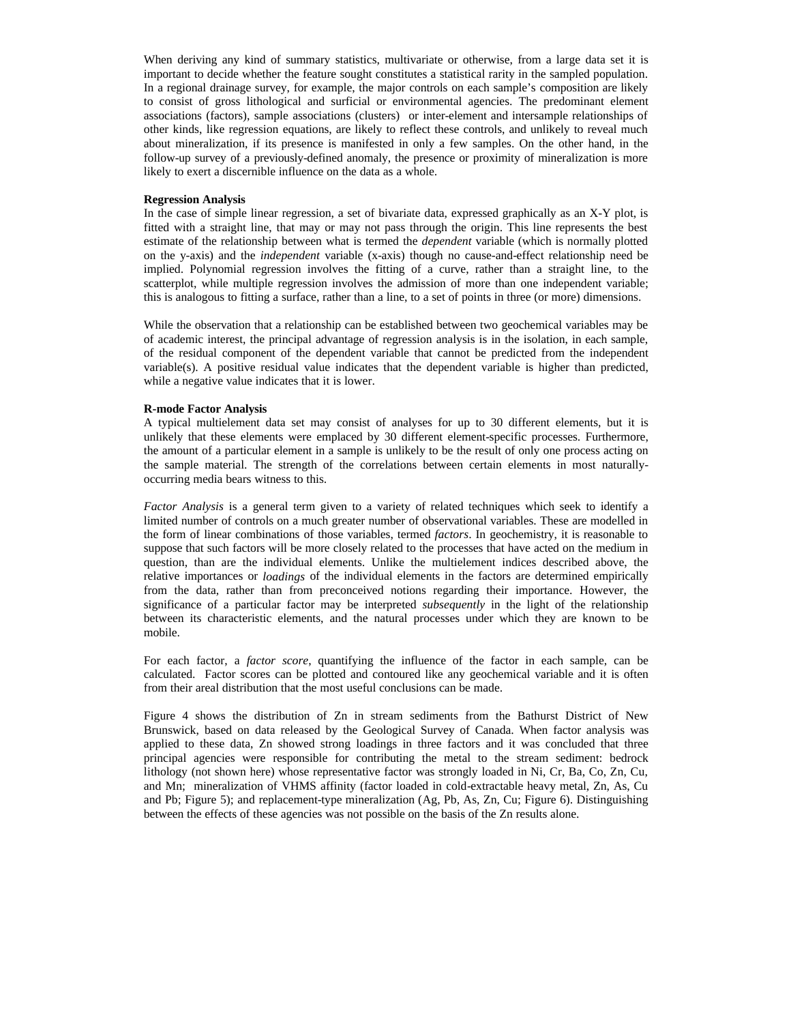When deriving any kind of summary statistics, multivariate or otherwise, from a large data set it is important to decide whether the feature sought constitutes a statistical rarity in the sampled population. In a regional drainage survey, for example, the major controls on each sample's composition are likely to consist of gross lithological and surficial or environmental agencies. The predominant element associations (factors), sample associations (clusters) or inter-element and intersample relationships of other kinds, like regression equations, are likely to reflect these controls, and unlikely to reveal much about mineralization, if its presence is manifested in only a few samples. On the other hand, in the follow-up survey of a previously-defined anomaly, the presence or proximity of mineralization is more likely to exert a discernible influence on the data as a whole.

### **Regression Analysis**

In the case of simple linear regression, a set of bivariate data, expressed graphically as an X-Y plot, is fitted with a straight line, that may or may not pass through the origin. This line represents the best estimate of the relationship between what is termed the *dependent* variable (which is normally plotted on the y-axis) and the *independent* variable (x-axis) though no cause-and-effect relationship need be implied. Polynomial regression involves the fitting of a curve, rather than a straight line, to the scatterplot, while multiple regression involves the admission of more than one independent variable; this is analogous to fitting a surface, rather than a line, to a set of points in three (or more) dimensions.

While the observation that a relationship can be established between two geochemical variables may be of academic interest, the principal advantage of regression analysis is in the isolation, in each sample, of the residual component of the dependent variable that cannot be predicted from the independent variable(s). A positive residual value indicates that the dependent variable is higher than predicted, while a negative value indicates that it is lower.

#### **R-mode Factor Analysis**

A typical multielement data set may consist of analyses for up to 30 different elements, but it is unlikely that these elements were emplaced by 30 different element-specific processes. Furthermore, the amount of a particular element in a sample is unlikely to be the result of only one process acting on the sample material. The strength of the correlations between certain elements in most naturallyoccurring media bears witness to this.

*Factor Analysis* is a general term given to a variety of related techniques which seek to identify a limited number of controls on a much greater number of observational variables. These are modelled in the form of linear combinations of those variables, termed *factors*. In geochemistry, it is reasonable to suppose that such factors will be more closely related to the processes that have acted on the medium in question, than are the individual elements. Unlike the multielement indices described above, the relative importances or *loadings* of the individual elements in the factors are determined empirically from the data, rather than from preconceived notions regarding their importance. However, the significance of a particular factor may be interpreted *subsequently* in the light of the relationship between its characteristic elements, and the natural processes under which they are known to be mobile.

For each factor, a *factor score*, quantifying the influence of the factor in each sample, can be calculated. Factor scores can be plotted and contoured like any geochemical variable and it is often from their areal distribution that the most useful conclusions can be made.

Figure 4 shows the distribution of Zn in stream sediments from the Bathurst District of New Brunswick, based on data released by the Geological Survey of Canada. When factor analysis was applied to these data, Zn showed strong loadings in three factors and it was concluded that three principal agencies were responsible for contributing the metal to the stream sediment: bedrock lithology (not shown here) whose representative factor was strongly loaded in Ni, Cr, Ba, Co, Zn, Cu, and Mn; mineralization of VHMS affinity (factor loaded in cold-extractable heavy metal, Zn, As, Cu and Pb; Figure 5); and replacement-type mineralization (Ag, Pb, As, Zn, Cu; Figure 6). Distinguishing between the effects of these agencies was not possible on the basis of the Zn results alone.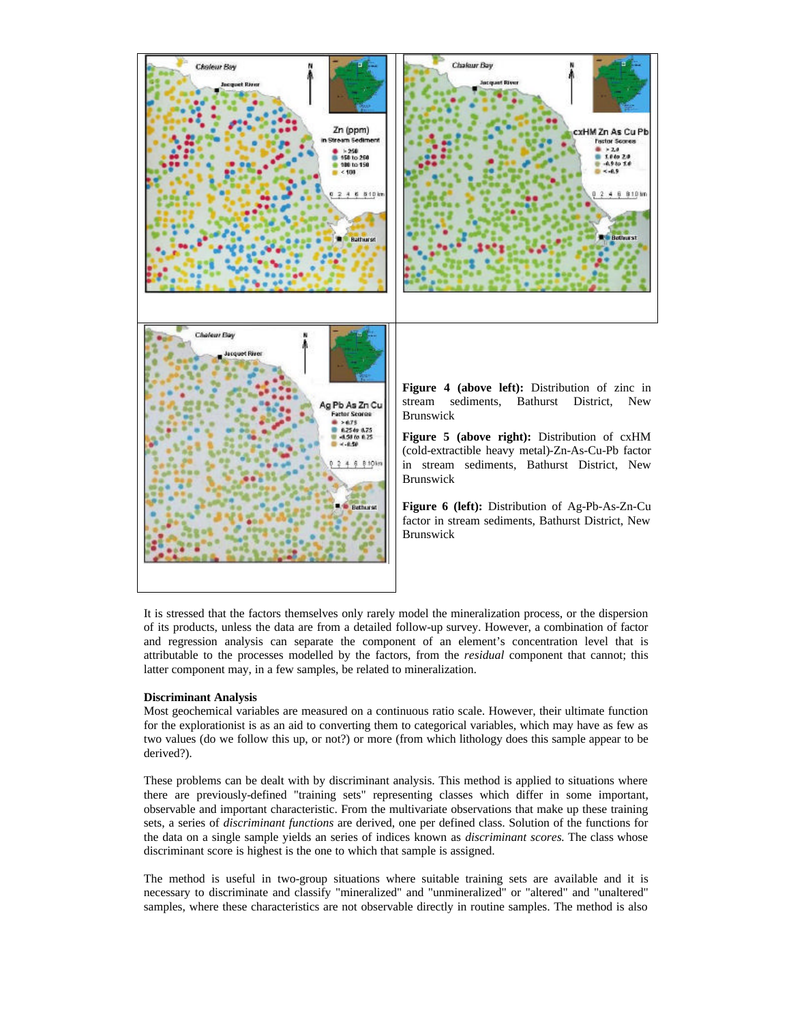

It is stressed that the factors themselves only rarely model the mineralization process, or the dispersion of its products, unless the data are from a detailed follow-up survey. However, a combination of factor and regression analysis can separate the component of an element's concentration level that is attributable to the processes modelled by the factors, from the *residual* component that cannot; this latter component may, in a few samples, be related to mineralization.

### **Discriminant Analysis**

Most geochemical variables are measured on a continuous ratio scale. However, their ultimate function for the explorationist is as an aid to converting them to categorical variables, which may have as few as two values (do we follow this up, or not?) or more (from which lithology does this sample appear to be derived?).

These problems can be dealt with by discriminant analysis. This method is applied to situations where there are previously-defined "training sets" representing classes which differ in some important, observable and important characteristic. From the multivariate observations that make up these training sets, a series of *discriminant functions* are derived, one per defined class. Solution of the functions for the data on a single sample yields an series of indices known as *discriminant scores.* The class whose discriminant score is highest is the one to which that sample is assigned.

The method is useful in two-group situations where suitable training sets are available and it is necessary to discriminate and classify "mineralized" and "unmineralized" or "altered" and "unaltered" samples, where these characteristics are not observable directly in routine samples. The method is also